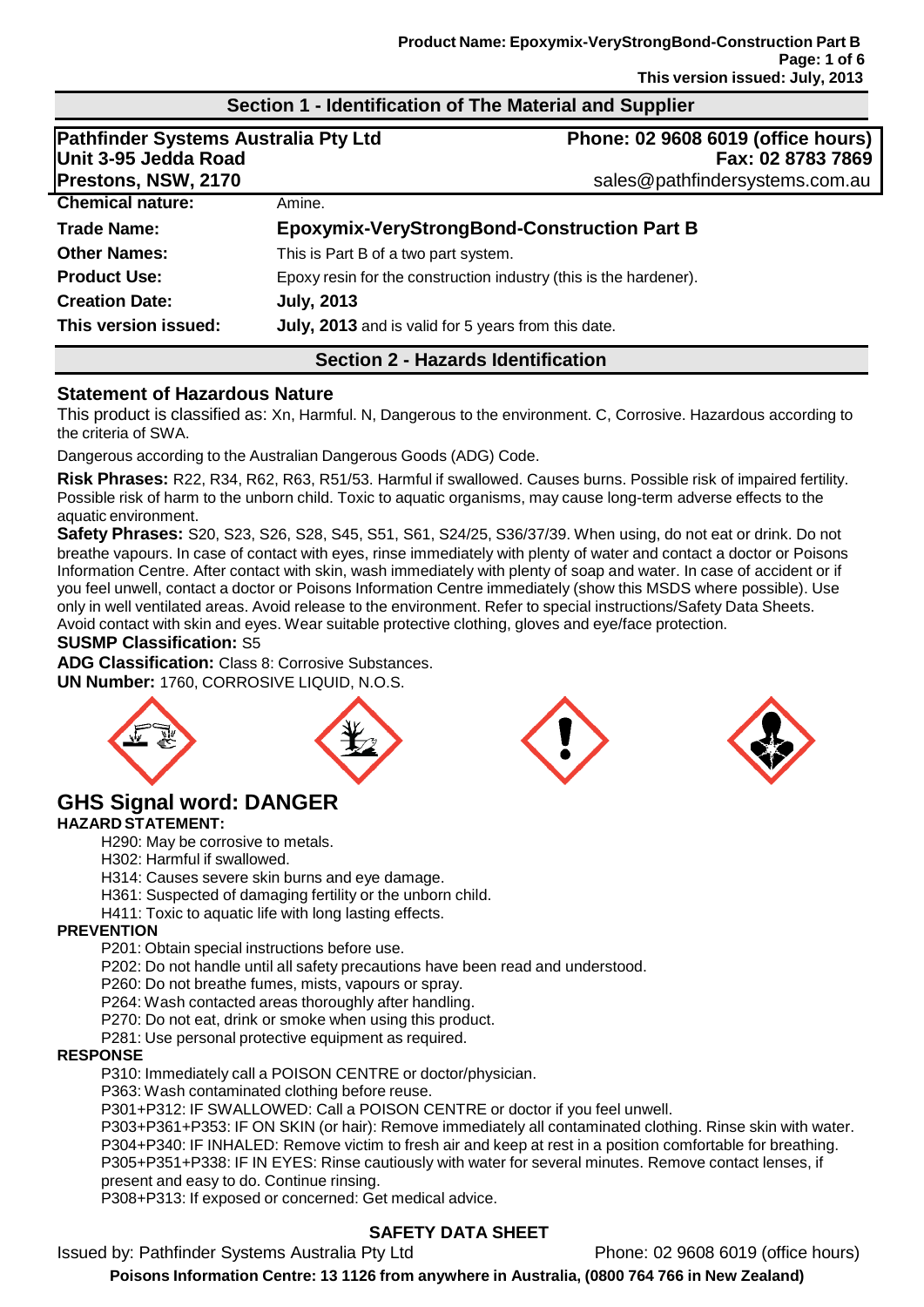## **Section 1 - Identification of The Material and Supplier**

| Pathfinder Systems Australia Pty Ltd<br>Unit 3-95 Jedda Road |                                                     | Phone: 02 9608 6019 (office hours)<br>Fax: 02 8783 7869           |  |  |
|--------------------------------------------------------------|-----------------------------------------------------|-------------------------------------------------------------------|--|--|
| <b>Prestons, NSW, 2170</b>                                   |                                                     | sales@pathfindersystems.com.au                                    |  |  |
| <b>Chemical nature:</b>                                      | Amine.                                              |                                                                   |  |  |
| <b>Trade Name:</b>                                           |                                                     | <b>Epoxymix-VeryStrongBond-Construction Part B</b>                |  |  |
| <b>Other Names:</b>                                          | This is Part B of a two part system.                |                                                                   |  |  |
| <b>Product Use:</b>                                          |                                                     | Epoxy resin for the construction industry (this is the hardener). |  |  |
| <b>Creation Date:</b>                                        | <b>July, 2013</b>                                   |                                                                   |  |  |
| This version issued:                                         | July, 2013 and is valid for 5 years from this date. |                                                                   |  |  |
| <b>Section 2 - Hazards Identification</b>                    |                                                     |                                                                   |  |  |

#### **Statement of Hazardous Nature**

This product is classified as: Xn, Harmful. N, Dangerous to the environment. C, Corrosive. Hazardous according to the criteria of SWA.

Dangerous according to the Australian Dangerous Goods (ADG) Code.

**Risk Phrases:** R22, R34, R62, R63, R51/53. Harmful if swallowed. Causes burns. Possible risk of impaired fertility. Possible risk of harm to the unborn child. Toxic to aquatic organisms, may cause long-term adverse effects to the aquatic environment.

**Safety Phrases:** S20, S23, S26, S28, S45, S51, S61, S24/25, S36/37/39. When using, do not eat or drink. Do not breathe vapours. In case of contact with eyes, rinse immediately with plenty of water and contact a doctor or Poisons Information Centre. After contact with skin, wash immediately with plenty of soap and water. In case of accident or if you feel unwell, contact a doctor or Poisons Information Centre immediately (show this MSDS where possible). Use only in well ventilated areas. Avoid release to the environment. Refer to special instructions/Safety Data Sheets. Avoid contact with skin and eyes. Wear suitable protective clothing, gloves and eye/face protection.

#### **SUSMP Classification:** S5

**ADG Classification:** Class 8: Corrosive Substances. **UN Number:** 1760, CORROSIVE LIQUID, N.O.S.





# **GHS Signal word: DANGER**

#### **HAZARD STATEMENT:**

H290: May be corrosive to metals.

H302: Harmful if swallowed.

H314: Causes severe skin burns and eye damage.

H361: Suspected of damaging fertility or the unborn child.

H411: Toxic to aquatic life with long lasting effects.

#### **PREVENTION**

P201: Obtain special instructions before use.

P202: Do not handle until all safety precautions have been read and understood.

P260: Do not breathe fumes, mists, vapours or spray.

P264: Wash contacted areas thoroughly after handling.

P270: Do not eat, drink or smoke when using this product.

P281: Use personal protective equipment as required.

#### **RESPONSE**

P310: Immediately call a POISON CENTRE or doctor/physician.

P363: Wash contaminated clothing before reuse.

P301+P312: IF SWALLOWED: Call a POISON CENTRE or doctor if you feel unwell.

P303+P361+P353: IF ON SKIN (or hair): Remove immediately all contaminated clothing. Rinse skin with water. P304+P340: IF INHALED: Remove victim to fresh air and keep at rest in a position comfortable for breathing. P305+P351+P338: IF IN EYES: Rinse cautiously with water for several minutes. Remove contact lenses, if present and easy to do. Continue rinsing.

P308+P313: If exposed or concerned: Get medical advice.

# **SAFETY DATA SHEET**

Issued by: Pathfinder Systems Australia Pty Ltd Phone: 02 9608 6019 (office hours)

**Poisons Information Centre: 13 1126 from anywhere in Australia, (0800 764 766 in New Zealand)**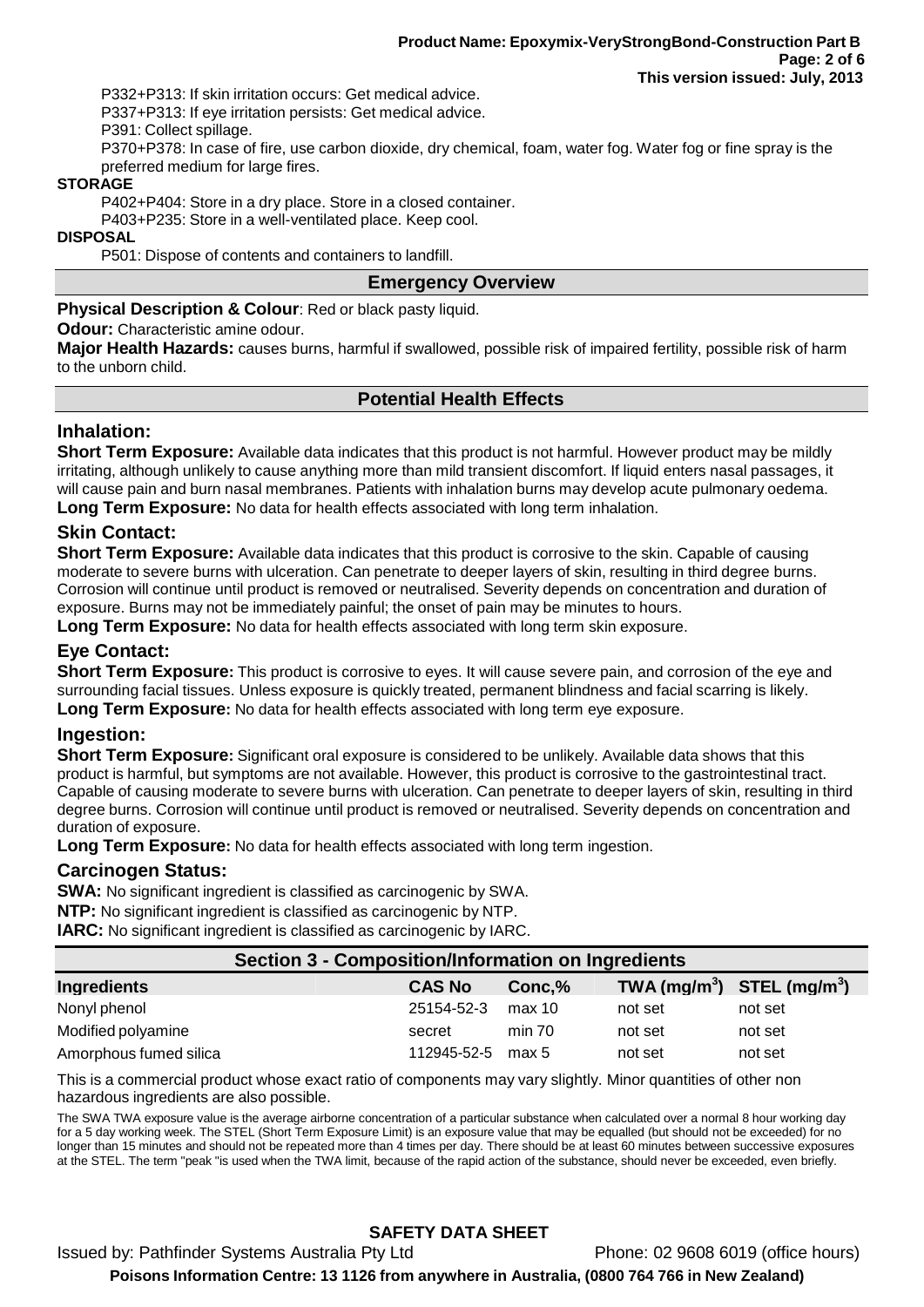P332+P313: If skin irritation occurs: Get medical advice.

P337+P313: If eye irritation persists: Get medical advice.

P391: Collect spillage.

P370+P378: In case of fire, use carbon dioxide, dry chemical, foam, water fog. Water fog or fine spray is the preferred medium for large fires.

## **STORAGE**

P402+P404: Store in a dry place. Store in a closed container.

P403+P235: Store in a well-ventilated place. Keep cool.

#### **DISPOSAL**

P501: Dispose of contents and containers to landfill.

### **Emergency Overview**

#### **Physical Description & Colour**: Red or black pasty liquid.

#### **Odour:** Characteristic amine odour.

**Major Health Hazards:** causes burns, harmful if swallowed, possible risk of impaired fertility, possible risk of harm to the unborn child.

# **Potential Health Effects**

## **Inhalation:**

**Short Term Exposure:** Available data indicates that this product is not harmful. However product may be mildly irritating, although unlikely to cause anything more than mild transient discomfort. If liquid enters nasal passages, it will cause pain and burn nasal membranes. Patients with inhalation burns may develop acute pulmonary oedema. **Long Term Exposure:** No data for health effects associated with long term inhalation.

# **Skin Contact:**

**Short Term Exposure:** Available data indicates that this product is corrosive to the skin. Capable of causing moderate to severe burns with ulceration. Can penetrate to deeper layers of skin, resulting in third degree burns. Corrosion will continue until product is removed or neutralised. Severity depends on concentration and duration of exposure. Burns may not be immediately painful; the onset of pain may be minutes to hours.

**Long Term Exposure:** No data for health effects associated with long term skin exposure.

# **Eye Contact:**

**Short Term Exposure:** This product is corrosive to eyes. It will cause severe pain, and corrosion of the eye and surrounding facial tissues. Unless exposure is quickly treated, permanent blindness and facial scarring is likely. **Long Term Exposure:** No data for health effects associated with long term eye exposure.

### **Ingestion:**

**Short Term Exposure:** Significant oral exposure is considered to be unlikely. Available data shows that this product is harmful, but symptoms are not available. However, this product is corrosive to the gastrointestinal tract. Capable of causing moderate to severe burns with ulceration. Can penetrate to deeper layers of skin, resulting in third degree burns. Corrosion will continue until product is removed or neutralised. Severity depends on concentration and duration of exposure.

**Long Term Exposure:** No data for health effects associated with long term ingestion.

### **Carcinogen Status:**

**SWA:** No significant ingredient is classified as carcinogenic by SWA. **NTP:** No significant ingredient is classified as carcinogenic by NTP. **IARC:** No significant ingredient is classified as carcinogenic by IARC.

| <b>Section 3 - Composition/Information on Ingredients</b> |  |               |        |                                                    |         |
|-----------------------------------------------------------|--|---------------|--------|----------------------------------------------------|---------|
| <b>Ingredients</b>                                        |  | <b>CAS No</b> | Conc,% | TWA (mg/m <sup>3</sup> ) STEL (mg/m <sup>3</sup> ) |         |
| Nonyl phenol                                              |  | 25154-52-3    | max 10 | not set                                            | not set |
| Modified polyamine                                        |  | secret        | min 70 | not set                                            | not set |
| Amorphous fumed silica                                    |  | 112945-52-5   | max 5  | not set                                            | not set |
|                                                           |  |               |        |                                                    |         |

This is a commercial product whose exact ratio of components may vary slightly. Minor quantities of other non hazardous ingredients are also possible.

The SWA TWA exposure value is the average airborne concentration of a particular substance when calculated over a normal 8 hour working day for a 5 day working week. The STEL (Short Term Exposure Limit) is an exposure value that may be equalled (but should not be exceeded) for no longer than 15 minutes and should not be repeated more than 4 times per day. There should be at least 60 minutes between successive exposures at the STEL. The term "peak "is used when the TWA limit, because of the rapid action of the substance, should never be exceeded, even briefly.

# **SAFETY DATA SHEET**

Issued by: Pathfinder Systems Australia Pty Ltd Phone: 02 9608 6019 (office hours) **Poisons Information Centre: 13 1126 from anywhere in Australia, (0800 764 766 in New Zealand)**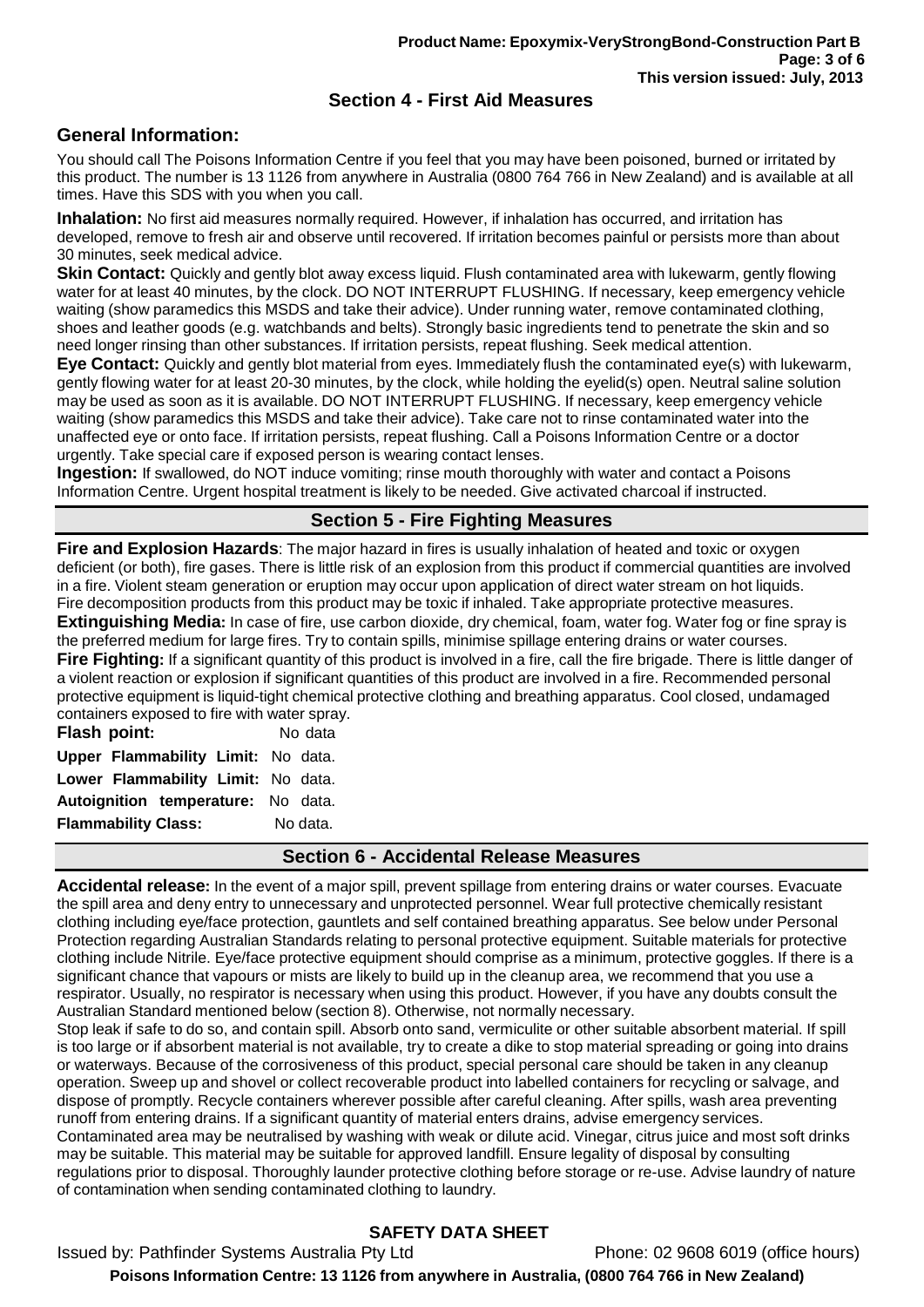## **Section 4 - First Aid Measures**

## **General Information:**

You should call The Poisons Information Centre if you feel that you may have been poisoned, burned or irritated by this product. The number is 13 1126 from anywhere in Australia (0800 764 766 in New Zealand) and is available at all times. Have this SDS with you when you call.

**Inhalation:** No first aid measures normally required. However, if inhalation has occurred, and irritation has developed, remove to fresh air and observe until recovered. If irritation becomes painful or persists more than about 30 minutes, seek medical advice.

**Skin Contact:** Quickly and gently blot away excess liquid. Flush contaminated area with lukewarm, gently flowing water for at least 40 minutes, by the clock. DO NOT INTERRUPT FLUSHING. If necessary, keep emergency vehicle waiting (show paramedics this MSDS and take their advice). Under running water, remove contaminated clothing, shoes and leather goods (e.g. watchbands and belts). Strongly basic ingredients tend to penetrate the skin and so need longer rinsing than other substances. If irritation persists, repeat flushing. Seek medical attention.

**Eye Contact:** Quickly and gently blot material from eyes. Immediately flush the contaminated eye(s) with lukewarm, gently flowing water for at least 20-30 minutes, by the clock, while holding the eyelid(s) open. Neutral saline solution may be used as soon as it is available. DO NOT INTERRUPT FLUSHING. If necessary, keep emergency vehicle waiting (show paramedics this MSDS and take their advice). Take care not to rinse contaminated water into the unaffected eye or onto face. If irritation persists, repeat flushing. Call a Poisons Information Centre or a doctor urgently. Take special care if exposed person is wearing contact lenses.

**Ingestion:** If swallowed, do NOT induce vomiting; rinse mouth thoroughly with water and contact a Poisons Information Centre. Urgent hospital treatment is likely to be needed. Give activated charcoal if instructed.

# **Section 5 - Fire Fighting Measures**

**Fire and Explosion Hazards**: The major hazard in fires is usually inhalation of heated and toxic or oxygen deficient (or both), fire gases. There is little risk of an explosion from this product if commercial quantities are involved in a fire. Violent steam generation or eruption may occur upon application of direct water stream on hot liquids. Fire decomposition products from this product may be toxic if inhaled. Take appropriate protective measures. **Extinguishing Media:** In case of fire, use carbon dioxide, dry chemical, foam, water fog. Water fog or fine spray is the preferred medium for large fires. Try to contain spills, minimise spillage entering drains or water courses. **Fire Fighting:** If a significant quantity of this product is involved in a fire, call the fire brigade. There is little danger of a violent reaction or explosion if significant quantities of this product are involved in a fire. Recommended personal protective equipment is liquid-tight chemical protective clothing and breathing apparatus. Cool closed, undamaged containers exposed to fire with water spray.

**Flash point:** No data **Upper Flammability Limit:** No data. **Lower Flammability Limit:** No data. **Autoignition temperature:** No data. **Flammability Class:** No data.

### **Section 6 - Accidental Release Measures**

**Accidental release:** In the event of a major spill, prevent spillage from entering drains or water courses. Evacuate the spill area and deny entry to unnecessary and unprotected personnel. Wear full protective chemically resistant clothing including eye/face protection, gauntlets and self contained breathing apparatus. See below under Personal Protection regarding Australian Standards relating to personal protective equipment. Suitable materials for protective clothing include Nitrile. Eye/face protective equipment should comprise as a minimum, protective goggles. If there is a significant chance that vapours or mists are likely to build up in the cleanup area, we recommend that you use a respirator. Usually, no respirator is necessary when using this product. However, if you have any doubts consult the Australian Standard mentioned below (section 8). Otherwise, not normally necessary.

Stop leak if safe to do so, and contain spill. Absorb onto sand, vermiculite or other suitable absorbent material. If spill is too large or if absorbent material is not available, try to create a dike to stop material spreading or going into drains or waterways. Because of the corrosiveness of this product, special personal care should be taken in any cleanup operation. Sweep up and shovel or collect recoverable product into labelled containers for recycling or salvage, and dispose of promptly. Recycle containers wherever possible after careful cleaning. After spills, wash area preventing runoff from entering drains. If a significant quantity of material enters drains, advise emergency services. Contaminated area may be neutralised by washing with weak or dilute acid. Vinegar, citrus juice and most soft drinks may be suitable. This material may be suitable for approved landfill. Ensure legality of disposal by consulting regulations prior to disposal. Thoroughly launder protective clothing before storage or re-use. Advise laundry of nature of contamination when sending contaminated clothing to laundry.

# **SAFETY DATA SHEET**

Issued by: Pathfinder Systems Australia Pty Ltd Phone: 02 9608 6019 (office hours) **Poisons Information Centre: 13 1126 from anywhere in Australia, (0800 764 766 in New Zealand)**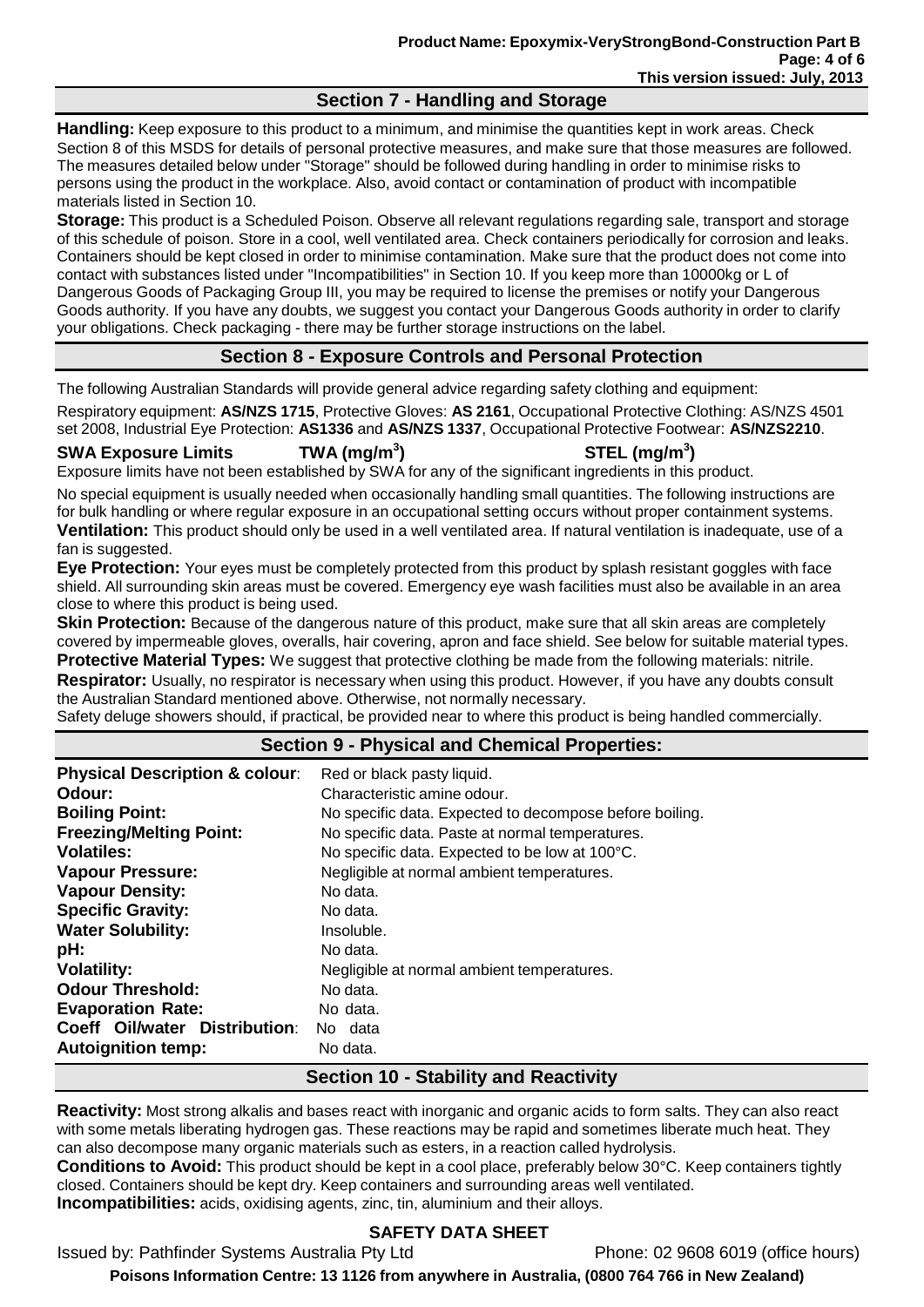### **Section 7 - Handling and Storage**

**Handling:** Keep exposure to this product to a minimum, and minimise the quantities kept in work areas. Check Section 8 of this MSDS for details of personal protective measures, and make sure that those measures are followed. The measures detailed below under "Storage" should be followed during handling in order to minimise risks to persons using the product in the workplace. Also, avoid contact or contamination of product with incompatible materials listed in Section 10.

**Storage:** This product is a Scheduled Poison. Observe all relevant regulations regarding sale, transport and storage of this schedule of poison. Store in a cool, well ventilated area. Check containers periodically for corrosion and leaks. Containers should be kept closed in order to minimise contamination. Make sure that the product does not come into contact with substances listed under "Incompatibilities" in Section 10. If you keep more than 10000kg or L of Dangerous Goods of Packaging Group III, you may be required to license the premises or notify your Dangerous Goods authority. If you have any doubts, we suggest you contact your Dangerous Goods authority in order to clarify your obligations. Check packaging - there may be further storage instructions on the label.

# **Section 8 - Exposure Controls and Personal Protection**

The following Australian Standards will provide general advice regarding safety clothing and equipment:

Respiratory equipment: **AS/NZS 1715**, Protective Gloves: **AS 2161**, Occupational Protective Clothing: AS/NZS 4501 set 2008, Industrial Eye Protection: **AS1336** and **AS/NZS 1337**, Occupational Protective Footwear: **AS/NZS2210**.

### **SWA Exposure Limits TWA (mg/m<sup>3</sup>**

**) STEL (mg/m<sup>3</sup> )**

Exposure limits have not been established by SWA for any of the significant ingredients in this product.

No special equipment is usually needed when occasionally handling small quantities. The following instructions are for bulk handling or where regular exposure in an occupational setting occurs without proper containment systems. **Ventilation:** This product should only be used in a well ventilated area. If natural ventilation is inadequate, use of a fan is suggested.

**Eye Protection:** Your eyes must be completely protected from this product by splash resistant goggles with face shield. All surrounding skin areas must be covered. Emergency eye wash facilities must also be available in an area close to where this product is being used.

**Skin Protection:** Because of the dangerous nature of this product, make sure that all skin areas are completely covered by impermeable gloves, overalls, hair covering, apron and face shield. See below for suitable material types. **Protective Material Types:** We suggest that protective clothing be made from the following materials: nitrile. **Respirator:** Usually, no respirator is necessary when using this product. However, if you have any doubts consult the Australian Standard mentioned above. Otherwise, not normally necessary.

Safety deluge showers should, if practical, be provided near to where this product is being handled commercially.

# **Section 9 - Physical and Chemical Properties:**

| <b>Physical Description &amp; colour:</b> | Red or black pasty liquid.                              |
|-------------------------------------------|---------------------------------------------------------|
| Odour:                                    | Characteristic amine odour.                             |
| <b>Boiling Point:</b>                     | No specific data. Expected to decompose before boiling. |
| <b>Freezing/Melting Point:</b>            | No specific data. Paste at normal temperatures.         |
| <b>Volatiles:</b>                         | No specific data. Expected to be low at 100°C.          |
| <b>Vapour Pressure:</b>                   | Negligible at normal ambient temperatures.              |
| <b>Vapour Density:</b>                    | No data.                                                |
| <b>Specific Gravity:</b>                  | No data.                                                |
| <b>Water Solubility:</b>                  | Insoluble.                                              |
| pH:                                       | No data.                                                |
| <b>Volatility:</b>                        | Negligible at normal ambient temperatures.              |
| <b>Odour Threshold:</b>                   | No data.                                                |
| <b>Evaporation Rate:</b>                  | No data.                                                |
| Coeff Oil/water Distribution:             | No data                                                 |
| <b>Autoignition temp:</b>                 | No data.                                                |

# **Section 10 - Stability and Reactivity**

**Reactivity:** Most strong alkalis and bases react with inorganic and organic acids to form salts. They can also react with some metals liberating hydrogen gas. These reactions may be rapid and sometimes liberate much heat. They can also decompose many organic materials such as esters, in a reaction called hydrolysis.

**Conditions to Avoid:** This product should be kept in a cool place, preferably below 30°C. Keep containers tightly closed. Containers should be kept dry. Keep containers and surrounding areas well ventilated. **Incompatibilities:** acids, oxidising agents, zinc, tin, aluminium and their alloys.

# **SAFETY DATA SHEET**

Issued by: Pathfinder Systems Australia Pty Ltd Phone: 02 9608 6019 (office hours)

**Poisons Information Centre: 13 1126 from anywhere in Australia, (0800 764 766 in New Zealand)**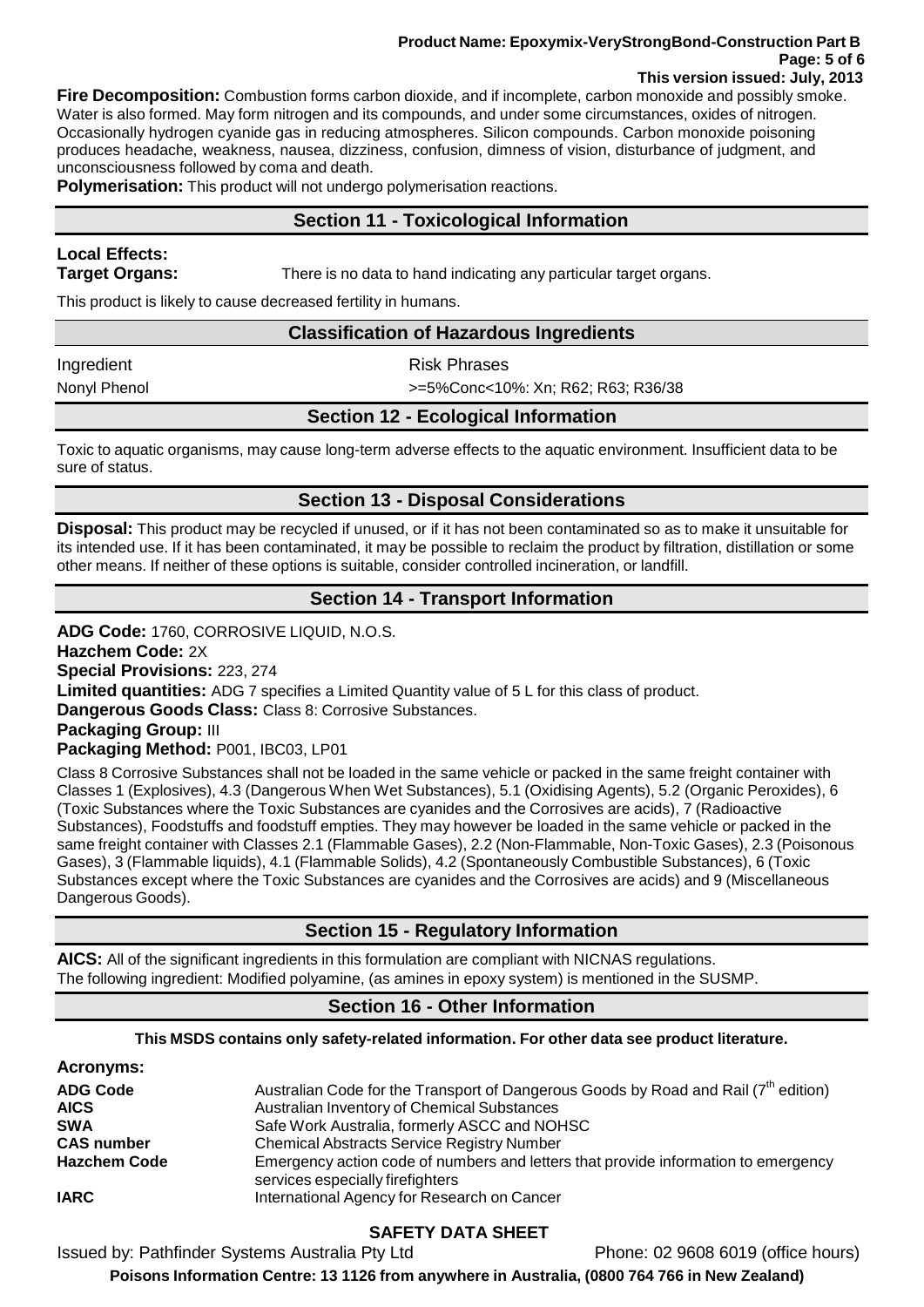#### **Product Name: Epoxymix-VeryStrongBond-Construction Part B Page: 5 of 6 This version issued: July, 2013**

**Fire Decomposition:** Combustion forms carbon dioxide, and if incomplete, carbon monoxide and possibly smoke. Water is also formed. May form nitrogen and its compounds, and under some circumstances, oxides of nitrogen. Occasionally hydrogen cyanide gas in reducing atmospheres. Silicon compounds. Carbon monoxide poisoning produces headache, weakness, nausea, dizziness, confusion, dimness of vision, disturbance of judgment, and unconsciousness followed by coma and death.

**Polymerisation:** This product will not undergo polymerisation reactions.

## **Section 11 - Toxicological Information**

# **Local Effects:**

**Target Organs:** There is no data to hand indicating any particular target organs.

This product is likely to cause decreased fertility in humans.

### **Classification of Hazardous Ingredients**

Ingredient **Risk Phrases** 

Nonyl Phenol >=5%Conc<10%: Xn; R62; R63; R36/38

## **Section 12 - Ecological Information**

Toxic to aquatic organisms, may cause long-term adverse effects to the aquatic environment. Insufficient data to be sure of status.

## **Section 13 - Disposal Considerations**

**Disposal:** This product may be recycled if unused, or if it has not been contaminated so as to make it unsuitable for its intended use. If it has been contaminated, it may be possible to reclaim the product by filtration, distillation or some other means. If neither of these options is suitable, consider controlled incineration, or landfill.

## **Section 14 - Transport Information**

**ADG Code:** 1760, CORROSIVE LIQUID, N.O.S.

**Hazchem Code:** 2X

**Special Provisions:** 223, 274

**Limited quantities:** ADG 7 specifies a Limited Quantity value of 5 L for this class of product.

**Dangerous Goods Class:** Class 8: Corrosive Substances.

### **Packaging Group:** III

**Packaging Method:** P001, IBC03, LP01

Class 8 Corrosive Substances shall not be loaded in the same vehicle or packed in the same freight container with Classes 1 (Explosives), 4.3 (Dangerous When Wet Substances), 5.1 (Oxidising Agents), 5.2 (Organic Peroxides), 6 (Toxic Substances where the Toxic Substances are cyanides and the Corrosives are acids), 7 (Radioactive Substances), Foodstuffs and foodstuff empties. They may however be loaded in the same vehicle or packed in the same freight container with Classes 2.1 (Flammable Gases), 2.2 (Non-Flammable, Non-Toxic Gases), 2.3 (Poisonous Gases), 3 (Flammable liquids), 4.1 (Flammable Solids), 4.2 (Spontaneously Combustible Substances), 6 (Toxic Substances except where the Toxic Substances are cyanides and the Corrosives are acids) and 9 (Miscellaneous Dangerous Goods).

# **Section 15 - Regulatory Information**

**AICS:** All of the significant ingredients in this formulation are compliant with NICNAS regulations. The following ingredient: Modified polyamine, (as amines in epoxy system) is mentioned in the SUSMP.

### **Section 16 - Other Information**

#### **This MSDS contains only safety-related information. For other data see product literature.**

| <b>Acronyms:</b>               |                                                                                                                                                |
|--------------------------------|------------------------------------------------------------------------------------------------------------------------------------------------|
| <b>ADG Code</b><br><b>AICS</b> | Australian Code for the Transport of Dangerous Goods by Road and Rail (7 <sup>th</sup> edition)<br>Australian Inventory of Chemical Substances |
| <b>SWA</b>                     | Safe Work Australia, formerly ASCC and NOHSC                                                                                                   |
| <b>CAS number</b>              | <b>Chemical Abstracts Service Registry Number</b>                                                                                              |
| <b>Hazchem Code</b>            | Emergency action code of numbers and letters that provide information to emergency<br>services especially firefighters                         |
| <b>IARC</b>                    | International Agency for Research on Cancer                                                                                                    |

# **SAFETY DATA SHEET**

Issued by: Pathfinder Systems Australia Pty Ltd Phone: 02 9608 6019 (office hours)

**Poisons Information Centre: 13 1126 from anywhere in Australia, (0800 764 766 in New Zealand)**